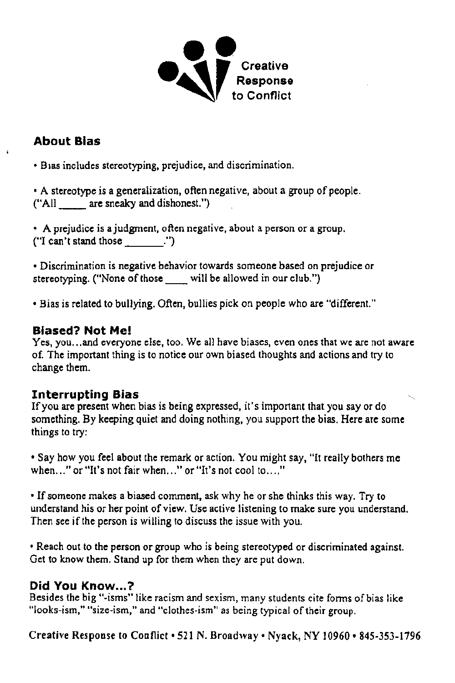

# About Bias

• Bias includes stereotyping, prejudice, and discrimination.

• A stereotype is a generalization. often negative, about a group of people. ("All are sneaky and dishonest.")

• A prejudice is a judgment, often negative, about a person or a group. ("I can't stand those .'')

• Discrimination is negative behavior towards someone based on prejudice or stereotyping. ("None of those will be allowed in our club.")

• Bias is related to bullying. Often, bullies pick on people who are "different."

### Biased? Not Me!

Yes, you...and everyone else, too. We all have biases, even ones that we are not aware of. The important thing is to notice our own biased thoughts and actions and try to change them.

## Interrupting Bias

If you are present when bias is being expressed, it's important that you say or do something. By keeping quiet and doing nothing, you support the bias, Here are some things to try:

• Say how you feel about the remark or action, You might say, "It really bothers me when,  $\ldots$ " or "It's not fair when,  $\ldots$ " or "It's not cool to  $\ldots$ ."

• If someone makes a biased comment, ask why he or she thinks this way. Try to understand his or her point of view. Use active listening to make sure you understand, Then see if the person is willing to discuss the issue with you.

• Reach out to the person or group who is being stereotyped or discriminated against. Get to know them. Stand up for them when they are put down.

### Did You Know...?

Besides the big "·isms" like racism and sexism, many students cite fonns of bias like "looks-ism," "size-ism," and "clothes-ism" as being typical of their group.

Creative Response to Conflict • 521 N. Broadway • Nyack, NY 10960 • 845-353-1796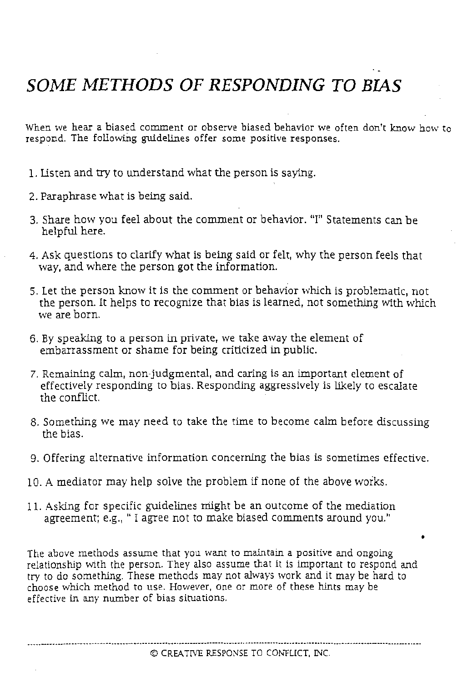# *SOME METHODS* OF *RESPONDING TO BIAS*

When we hear a biased comment or observe biased behavior we often don't know how to respond. The following guidelines offer some positive responses.

- L listen and try to understand what the person is saying.
- 2. Paraphrase what is being said.
- 3. Share how you feel about the comment or behavior. "I" Statements can be helpful here.
- 4. Ask questions to clarify what is being said or felt, why the person feels that way, and where the person got the information.
- 5. Let the person know it is the comment or behavior which is problematic, not the person. It helps to recognize that bias is learned, not something with which we are born.
- 6. By speaking to a person in private, we take away the element of embarrassment or shame for being criticized in public.
- 7. Remaining calm, non-judgmental, and caring is an important element of effectively responding to bias. Responding aggressively is likely to escalate the conflict.
- 8. Something we may need to take the time to become calm before discussing the bias.
- 9. Offering alternative information concerning the bias is sometimes effective.
- 10. A mediator may help solve the problem if none of the above works.
- II. Asking for specific guidelines might be an outcome of the mediation agreement; e.g., " I agree not to make biased comments around you."

The above methods assume that you want to maintain a positive and ongoing relationship vvith the person. They also assume that it is important to respond and try to do something. These methods may not always work and it may be hard to choose which method to use. However, One or more of these hints may be effective in any number of bias situations.

\_ .. <sup>n</sup> \_\_ <sup>u</sup> ••\_. unn\_\_ • \_\_ nn •••• un .\_.\_nnnu.... • \_\_ nn\_uuu.u.....• .....hnn. ••\_\_ .\_.uun\_\_ nnn\_.\_u

•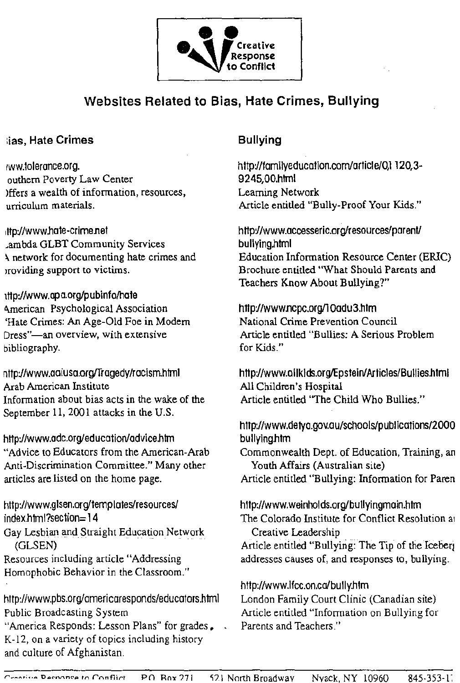

# **Websites Related to Bias, Hate Crimes, Bullying**

### ias, Hate Crimes

ww.tolerance.org. outhern Poverty Law Center )ffers a wealth of information, resources, urriculum materials.

ttp://www.hate-crime.net .ambda GLBT Community Services A network for documenting hate crimes and providing support to victims.

ttp://www.apa.org/pubinfo/hate American Psychological Association 'Hate Crimes: An Age-Old Foe in Modern Dress"-an overview, with extensive bibliography.

nttp://www.aaiusa.org/Tragedy/racism.html Arab American Institute Information about bias acts in the wake of the September 11, 2001 attacks in the U.S.

http://www.adc.org/education/advice.htm "Advice to Educators from the American-Arab Anti-Discrimination Committee." Many other articles are listed on the home page.

http://www.glsen.org/templates/resources/ index.html?section=14 Gay Lesbian and Straight Education Network (GLSEN)

Resources including article "Addressing Homophobic Behavior in the Classroom."

http://www.pbs.org/americaresponds/educators.html Public Broadcasting System

"America Responds: Lesson Plans" for grades. K-12, on a variety of topics including history and culture of Afghanistan.

# **Bullying**

http://familyeducation.com/article/0,1 120,3-9245,00.html Learning Network Article entitled "Bully-Proof Your Kids."

http://www.accesseric.org/resources/parent/ bullying.html Education Information Resource Center (ERIC) Brochure entitled "What Should Parents and Teachers Know About Bullying?"

http://www.ncpc.org/10adu3.htm National Crime Prevention Council Article entitled "Bullies: A Serious Problem for Kids."

http://www.allkids.org/Epstein/Articles/Bullies.html All Children's Hospital Article entitled "The Child Who Bullies."

http://www.detya.gov.au/schools/publications/2000 bullying.htm

Commonwealth Dept. of Education, Training, an Youth Affairs (Australian site)

Article entitled "Bullying: Information for Paren

http://www.weinholds.org/bullyingmain.htm The Colorado Institute for Conflict Resolution at Creative Leadership

Article entitled "Bullying: The Tip of the Iceberi addresses causes of, and responses to, bullying.

http://www.lfcc.on.ca/bully.htm London Family Court Clinic (Canadian site) Article entitled "Information on Bullying for Parents and Teachers."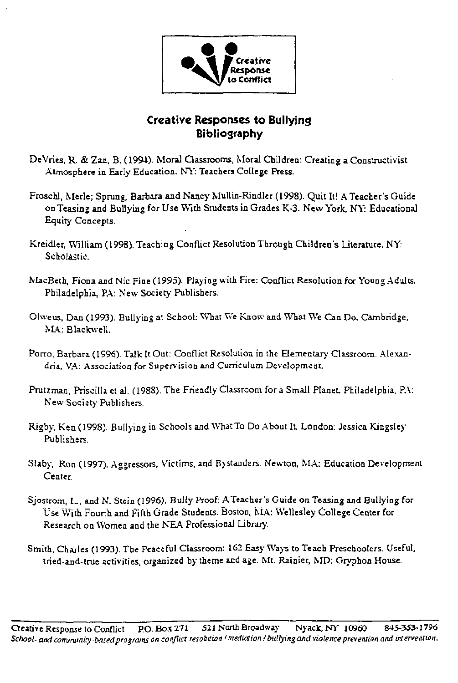

## Creative Responses to Bullying **Bibliography**

- DeVries, R. & Zan, B. (1994). Moral Classrooms, Moral Children: Creating a Constructivist Atmosphere in Early Education. NY: Teachers College Press.
- Froschl, Merle; Sprung, Barbara and Nancy Mullin-Rindler (1998). Quit It! A Teacher's Guide on Teasing and Bullying for Use With Students in Grades K-3. New York, NY: Educational Equity Concepts.
- Kreidler, William (1998). Teaching Conflict Resolution Through Children's Literature. NY: Scholastic.
- MacBeth, Fiona and Nic Fine (1995). Playing with Fire: Conflict Resolution for Young Adults. Philadelphia, P.A: New Society Publishers.
- Olweus, Dan (1993). Bullying at School: What We Know and What We Can Do. Cambridge, MA: Blackwell.
- Porro, Barbara (1996). Talk It Out: Conflict Resolution in the Elementary Classroom. Alexandria, VA: Association for Supervision and Curriculum Development.
- Prutzman, Priscilla et al. (1988). The Friendly Classroom for a Small Planet. Philadelphia, PA: New Society Publishers.
- Rigby, Ken (1998). Bullying in Schools and What To Do About It. London: Jessica Kingsley Publishers.
- Slaby, Ron (1997). Aggressors, Victims, and Bystanders. Newton, MA: Education Development Center.
- Sjostrom, L., and N. Stein (1996). Bully Proof: A Teacher's Guide on Teasing and Bullying for Use With Fourth and Fifth Grade Students. Boston, MA: Wellesley College Center for Research on Women and the NEA Professional Library.
- Smith, Charles (1993). The Peaceful Classroom: 162 Easy Ways to Teach Preschoolers. Useful, tried-and-true activities, organized by theme and age. Mt. Rainier, MD: Gryphon House.